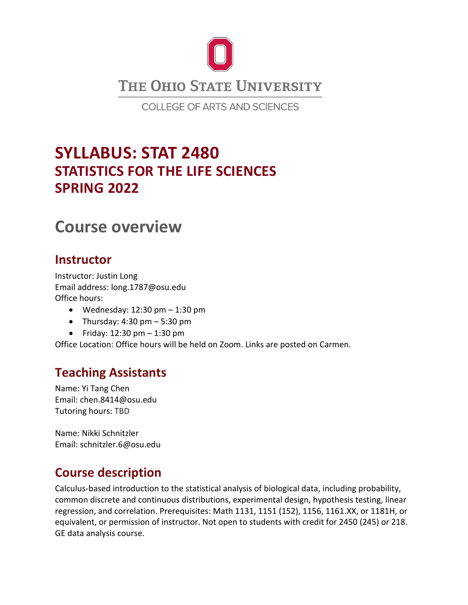

**COLLEGE OF ARTS AND SCIENCES** 

# **SYLLABUS: STAT 2480 STATISTICS FOR THE LIFE SCIENCES SPRING 2022**

# **Course overview**

### **Instructor**

Instructor: Justin Long Email address: long.1787@osu.edu Office hours:

- Wednesday:  $12:30 \text{ pm} 1:30 \text{ pm}$
- Thursday:  $4:30 \text{ pm} 5:30 \text{ pm}$
- Friday:  $12:30 \text{ pm} 1:30 \text{ pm}$

Office Location: Office hours will be held on Zoom. Links are posted on Carmen.

## **Teaching Assistants**

Name: Yi Tang Chen Email: chen.8414@osu.edu Tutoring hours: TBD

Name: Nikki Schnitzler Email: schnitzler.6@osu.edu

# **Course description**

Calculus-based introduction to the statistical analysis of biological data, including probability, common discrete and continuous distributions, experimental design, hypothesis testing, linear regression, and correlation. Prerequisites: Math 1131, 1151 (152), 1156, 1161.XX, or 1181H, or equivalent, or permission of instructor. Not open to students with credit for 2450 (245) or 218. GE data analysis course.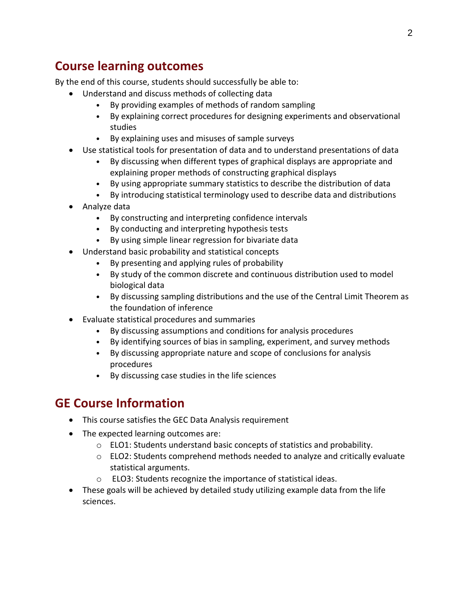## **Course learning outcomes**

By the end of this course, students should successfully be able to:

- Understand and discuss methods of collecting data
	- By providing examples of methods of random sampling
	- By explaining correct procedures for designing experiments and observational studies
	- By explaining uses and misuses of sample surveys
- Use statistical tools for presentation of data and to understand presentations of data
	- By discussing when different types of graphical displays are appropriate and explaining proper methods of constructing graphical displays
	- By using appropriate summary statistics to describe the distribution of data
	- By introducing statistical terminology used to describe data and distributions
- Analyze data
	- By constructing and interpreting confidence intervals
	- By conducting and interpreting hypothesis tests
	- By using simple linear regression for bivariate data
- Understand basic probability and statistical concepts
	- By presenting and applying rules of probability
	- By study of the common discrete and continuous distribution used to model biological data
	- By discussing sampling distributions and the use of the Central Limit Theorem as the foundation of inference
- Evaluate statistical procedures and summaries
	- By discussing assumptions and conditions for analysis procedures
	- By identifying sources of bias in sampling, experiment, and survey methods
	- By discussing appropriate nature and scope of conclusions for analysis procedures
	- By discussing case studies in the life sciences

## **GE Course Information**

- This course satisfies the GEC Data Analysis requirement
- The expected learning outcomes are:
	- o ELO1: Students understand basic concepts of statistics and probability.
	- o ELO2: Students comprehend methods needed to analyze and critically evaluate statistical arguments.
	- o ELO3: Students recognize the importance of statistical ideas.
- These goals will be achieved by detailed study utilizing example data from the life sciences.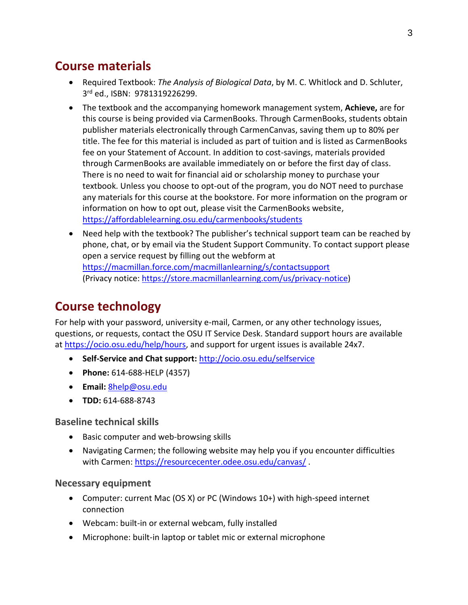## **Course materials**

- Required Textbook: *The Analysis of Biological Data*, by M. C. Whitlock and D. Schluter, 3 rd ed., ISBN: 9781319226299.
- The textbook and the accompanying homework management system, **Achieve,** are for this course is being provided via CarmenBooks. Through CarmenBooks, students obtain publisher materials electronically through CarmenCanvas, saving them up to 80% per title. The fee for this material is included as part of tuition and is listed as CarmenBooks fee on your Statement of Account. In addition to cost-savings, materials provided through CarmenBooks are available immediately on or before the first day of class. There is no need to wait for financial aid or scholarship money to purchase your textbook. Unless you choose to opt-out of the program, you do NOT need to purchase any materials for this course at the bookstore. For more information on the program or information on how to opt out, please visit the CarmenBooks website, <https://affordablelearning.osu.edu/carmenbooks/students>
- Need help with the textbook? The publisher's technical support team can be reached by phone, chat, or by email via the Student Support Community. To contact support please open a service request by filling out the webform at <https://macmillan.force.com/macmillanlearning/s/contactsupport> (Privacy notice: [https://store.macmillanlearning.com/us/privacy-notice\)](https://store.macmillanlearning.com/us/privacy-notice)

# **Course technology**

For help with your password, university e-mail, Carmen, or any other technology issues, questions, or requests, contact the OSU IT Service Desk. Standard support hours are available at [https://ocio.osu.edu/help/hours,](https://ocio.osu.edu/help/hours) and support for urgent issues is available 24x7.

- **Self-Service and Chat support:** <http://ocio.osu.edu/selfservice>
- **Phone:** 614-688-HELP (4357)
- **Email:** [8help@osu.edu](mailto:8help@osu.edu)
- **TDD:** 614-688-8743

#### **Baseline technical skills**

- Basic computer and web-browsing skills
- Navigating Carmen; the following website may help you if you encounter difficulties with Carmen:<https://resourcecenter.odee.osu.edu/canvas/> .

#### **Necessary equipment**

- Computer: current Mac (OS X) or PC (Windows 10+) with high-speed internet connection
- Webcam: built-in or external webcam, fully installed
- Microphone: built-in laptop or tablet mic or external microphone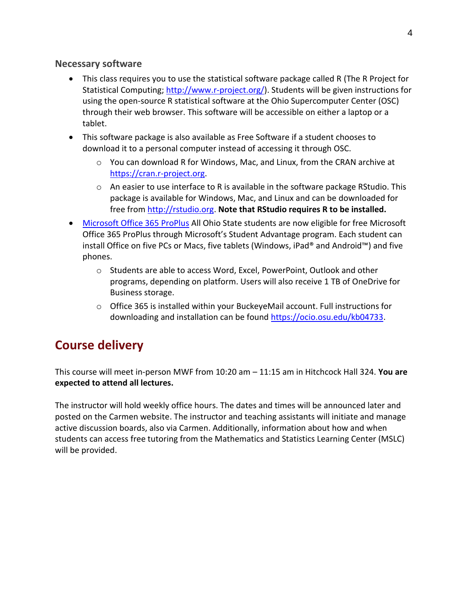#### **Necessary software**

- This class requires you to use the statistical software package called R (The R Project for Statistical Computing; [http://www.r-project.org/\)](http://www.r-project.org/). Students will be given instructions for using the open-source R statistical software at the Ohio Supercomputer Center (OSC) through their web browser. This software will be accessible on either a laptop or a tablet.
- This software package is also available as Free Software if a student chooses to download it to a personal computer instead of accessing it through OSC.
	- $\circ$  You can download R for Windows, Mac, and Linux, from the CRAN archive at [https://cran.r-project.org.](https://cran.r-project.org/)
	- $\circ$  An easier to use interface to R is available in the software package RStudio. This package is available for Windows, Mac, and Linux and can be downloaded for free from [http://rstudio.org.](http://rstudio.org/) **Note that RStudio requires R to be installed.**
- [Microsoft Office 365](https://ocio.osu.edu/blog/community/2015/08/18/free-microsoft-office-for-ohio-state-students) ProPlus All Ohio State students are now eligible for free Microsoft Office 365 ProPlus through Microsoft's Student Advantage program. Each student can install Office on five PCs or Macs, five tablets (Windows, iPad® and Android™) and five phones.
	- o Students are able to access Word, Excel, PowerPoint, Outlook and other programs, depending on platform. Users will also receive 1 TB of OneDrive for Business storage.
	- o Office 365 is installed within your BuckeyeMail account. Full instructions for downloading and installation can be found [https://ocio.osu.edu/kb04733.](https://ocio.osu.edu/kb04733)

## **Course delivery**

This course will meet in-person MWF from 10:20 am – 11:15 am in Hitchcock Hall 324. **You are expected to attend all lectures.**

The instructor will hold weekly office hours. The dates and times will be announced later and posted on the Carmen website. The instructor and teaching assistants will initiate and manage active discussion boards, also via Carmen. Additionally, information about how and when students can access free tutoring from the Mathematics and Statistics Learning Center (MSLC) will be provided.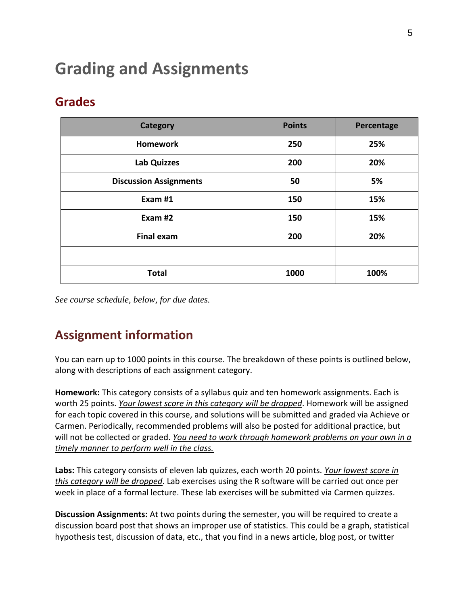# **Grading and Assignments**

## **Grades**

| Category                      | <b>Points</b> | Percentage |
|-------------------------------|---------------|------------|
| <b>Homework</b>               | 250           | 25%        |
| <b>Lab Quizzes</b>            | 200           | 20%        |
| <b>Discussion Assignments</b> | 50            | 5%         |
| Exam #1                       | 150           | 15%<br>15% |
| Exam #2                       | 150           |            |
| <b>Final exam</b>             | 200           | 20%        |
|                               |               |            |
| <b>Total</b>                  | 1000          | 100%       |

*See course schedule, below, for due dates.* 

# **Assignment information**

You can earn up to 1000 points in this course. The breakdown of these points is outlined below, along with descriptions of each assignment category.

**Homework:** This category consists of a syllabus quiz and ten homework assignments. Each is worth 25 points. *Your lowest score in this category will be dropped*. Homework will be assigned for each topic covered in this course, and solutions will be submitted and graded via Achieve or Carmen. Periodically, recommended problems will also be posted for additional practice, but will not be collected or graded. *You need to work through homework problems on your own in a timely manner to perform well in the class.*

**Labs:** This category consists of eleven lab quizzes, each worth 20 points. *Your lowest score in this category will be dropped*. Lab exercises using the R software will be carried out once per week in place of a formal lecture. These lab exercises will be submitted via Carmen quizzes.

**Discussion Assignments:** At two points during the semester, you will be required to create a discussion board post that shows an improper use of statistics. This could be a graph, statistical hypothesis test, discussion of data, etc., that you find in a news article, blog post, or twitter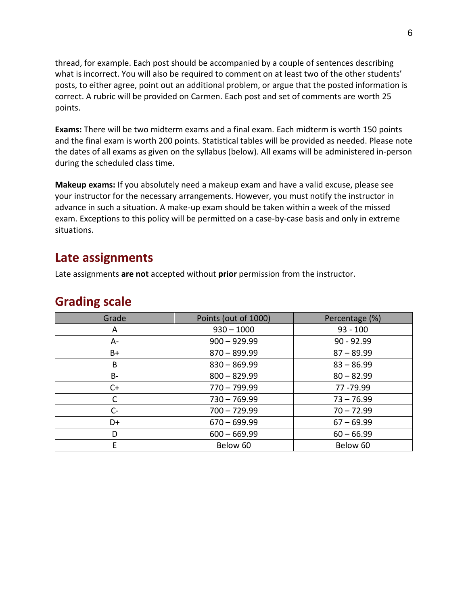thread, for example. Each post should be accompanied by a couple of sentences describing what is incorrect. You will also be required to comment on at least two of the other students' posts, to either agree, point out an additional problem, or argue that the posted information is correct. A rubric will be provided on Carmen. Each post and set of comments are worth 25 points.

**Exams:** There will be two midterm exams and a final exam. Each midterm is worth 150 points and the final exam is worth 200 points. Statistical tables will be provided as needed. Please note the dates of all exams as given on the syllabus (below). All exams will be administered in-person during the scheduled class time.

**Makeup exams:** If you absolutely need a makeup exam and have a valid excuse, please see your instructor for the necessary arrangements. However, you must notify the instructor in advance in such a situation. A make-up exam should be taken within a week of the missed exam. Exceptions to this policy will be permitted on a case-by-case basis and only in extreme situations.

### **Late assignments**

Late assignments **are not** accepted without **prior** permission from the instructor.

### **Grading scale**

| Grade | Points (out of 1000) | Percentage (%) |
|-------|----------------------|----------------|
| A     | $930 - 1000$         | $93 - 100$     |
| A-    | $900 - 929.99$       | $90 - 92.99$   |
| $B+$  | $870 - 899.99$       | $87 - 89.99$   |
| В     | $830 - 869.99$       | $83 - 86.99$   |
| B-    | $800 - 829.99$       | $80 - 82.99$   |
| $C+$  | $770 - 799.99$       | 77 - 79.99     |
| C     | $730 - 769.99$       | $73 - 76.99$   |
| $C-$  | $700 - 729.99$       | $70 - 72.99$   |
| D+    | $670 - 699.99$       | $67 - 69.99$   |
| D     | $600 - 669.99$       | $60 - 66.99$   |
| E     | Below 60             | Below 60       |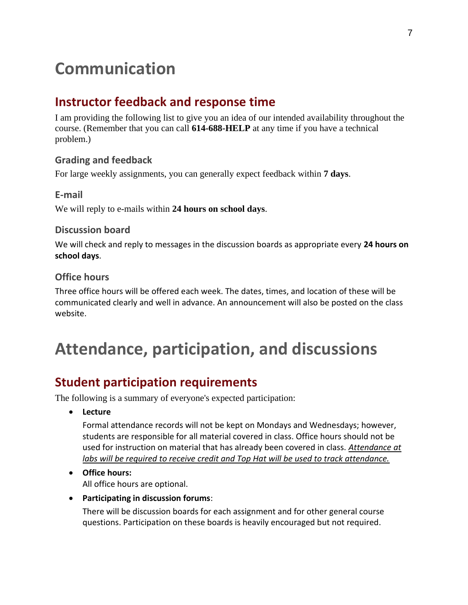# **Communication**

## **Instructor feedback and response time**

I am providing the following list to give you an idea of our intended availability throughout the course. (Remember that you can call **614-688-HELP** at any time if you have a technical problem.)

### **Grading and feedback**

For large weekly assignments, you can generally expect feedback within **7 days**.

### **E-mail** We will reply to e-mails within **24 hours on school days**.

#### **Discussion board**

We will check and reply to messages in the discussion boards as appropriate every **24 hours on school days**.

### **Office hours**

Three office hours will be offered each week. The dates, times, and location of these will be communicated clearly and well in advance. An announcement will also be posted on the class website.

# **Attendance, participation, and discussions**

## **Student participation requirements**

The following is a summary of everyone's expected participation:

• **Lecture**

Formal attendance records will not be kept on Mondays and Wednesdays; however, students are responsible for all material covered in class. Office hours should not be used for instruction on material that has already been covered in class. *Attendance at labs will be required to receive credit and Top Hat will be used to track attendance.*

#### • **Office hours:**

All office hours are optional.

• **Participating in discussion forums**:

There will be discussion boards for each assignment and for other general course questions. Participation on these boards is heavily encouraged but not required.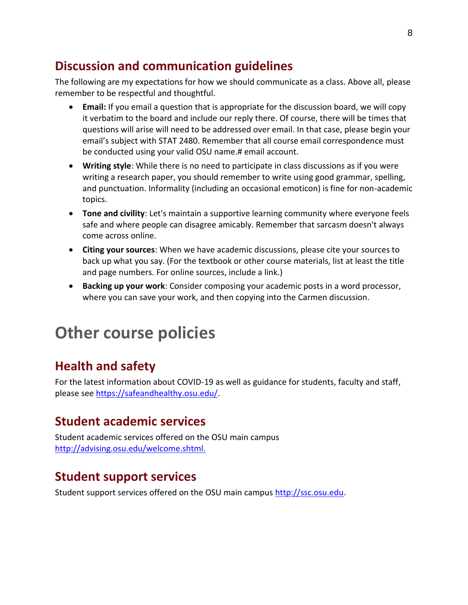## **Discussion and communication guidelines**

The following are my expectations for how we should communicate as a class. Above all, please remember to be respectful and thoughtful.

- **Email:** If you email a question that is appropriate for the discussion board, we will copy it verbatim to the board and include our reply there. Of course, there will be times that questions will arise will need to be addressed over email. In that case, please begin your email's subject with STAT 2480. Remember that all course email correspondence must be conducted using your valid OSU name.# email account.
- **Writing style**: While there is no need to participate in class discussions as if you were writing a research paper, you should remember to write using good grammar, spelling, and punctuation. Informality (including an occasional emoticon) is fine for non-academic topics.
- **Tone and civility**: Let's maintain a supportive learning community where everyone feels safe and where people can disagree amicably. Remember that sarcasm doesn't always come across online.
- **Citing your sources**: When we have academic discussions, please cite your sources to back up what you say. (For the textbook or other course materials, list at least the title and page numbers. For online sources, include a link.)
- **Backing up your work**: Consider composing your academic posts in a word processor, where you can save your work, and then copying into the Carmen discussion.

# **Other course policies**

## **Health and safety**

For the latest information about COVID-19 as well as guidance for students, faculty and staff, please see [https://safeandhealthy.osu.edu/.](https://safeandhealthy.osu.edu/)

## **Student academic services**

Student academic services offered on the OSU main campus [http://advising.osu.edu/welcome.shtml.](http://advising.osu.edu/welcome.shtml)

## **Student support services**

Student support services offered on the OSU main campus [http://ssc.osu.edu.](http://ssc.osu.edu/)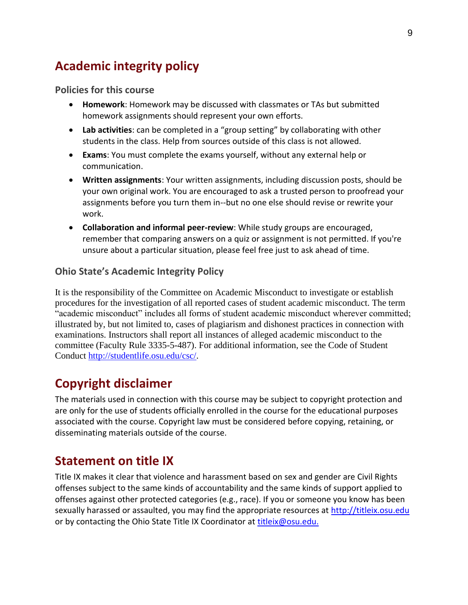## **Academic integrity policy**

#### **Policies for this course**

- **Homework**: Homework may be discussed with classmates or TAs but submitted homework assignments should represent your own efforts.
- **Lab activities**: can be completed in a "group setting" by collaborating with other students in the class. Help from sources outside of this class is not allowed.
- **Exams**: You must complete the exams yourself, without any external help or communication.
- **Written assignments**: Your written assignments, including discussion posts, should be your own original work. You are encouraged to ask a trusted person to proofread your assignments before you turn them in--but no one else should revise or rewrite your work.
- **Collaboration and informal peer-review**: While study groups are encouraged, remember that comparing answers on a quiz or assignment is not permitted. If you're unsure about a particular situation, please feel free just to ask ahead of time.

#### **Ohio State's Academic Integrity Policy**

It is the responsibility of the Committee on Academic Misconduct to investigate or establish procedures for the investigation of all reported cases of student academic misconduct. The term "academic misconduct" includes all forms of student academic misconduct wherever committed; illustrated by, but not limited to, cases of plagiarism and dishonest practices in connection with examinations. Instructors shall report all instances of alleged academic misconduct to the committee (Faculty Rule 3335-5-487). For additional information, see the Code of Student Conduct [http://studentlife.osu.edu/csc/.](http://studentlife.osu.edu/csc/)

## **Copyright disclaimer**

The materials used in connection with this course may be subject to copyright protection and are only for the use of students officially enrolled in the course for the educational purposes associated with the course. Copyright law must be considered before copying, retaining, or disseminating materials outside of the course.

### **Statement on title IX**

Title IX makes it clear that violence and harassment based on sex and gender are Civil Rights offenses subject to the same kinds of accountability and the same kinds of support applied to offenses against other protected categories (e.g., race). If you or someone you know has been sexually harassed or assaulted, you may find the appropriate resources at [http://titleix.osu.edu](http://titleix.osu.edu/) or by contacting the Ohio State Title IX Coordinator at [titleix@osu.edu.](mailto:titleix@osu.edu)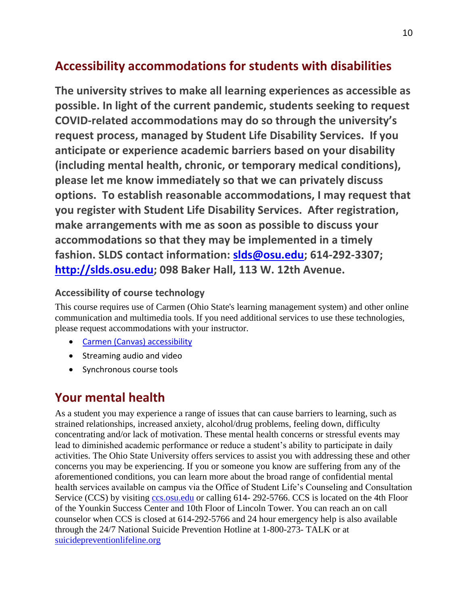## **Accessibility accommodations for students with disabilities**

**The university strives to make all learning experiences as accessible as possible. In light of the current pandemic, students seeking to request COVID-related accommodations may do so through the university's request process, managed by Student Life Disability Services. If you anticipate or experience academic barriers based on your disability (including mental health, chronic, or temporary medical conditions), please let me know immediately so that we can privately discuss options. To establish reasonable accommodations, I may request that you register with Student Life Disability Services. After registration, make arrangements with me as soon as possible to discuss your accommodations so that they may be implemented in a timely fashion. SLDS contact information: [slds@osu.edu;](mailto:slds@osu.edu) 614-292-3307; [http://slds.osu.edu;](http://slds.osu.edu/) 098 Baker Hall, 113 W. 12th Avenue.**

### **Accessibility of course technology**

This course requires use of Carmen (Ohio State's learning management system) and other online communication and multimedia tools. If you need additional services to use these technologies, please request accommodations with your instructor.

- [Carmen \(Canvas\) accessibility](https://community.canvaslms.com/docs/DOC-2061)
- Streaming audio and video
- Synchronous course tools

## **Your mental health**

As a student you may experience a range of issues that can cause barriers to learning, such as strained relationships, increased anxiety, alcohol/drug problems, feeling down, difficulty concentrating and/or lack of motivation. These mental health concerns or stressful events may lead to diminished academic performance or reduce a student's ability to participate in daily activities. The Ohio State University offers services to assist you with addressing these and other concerns you may be experiencing. If you or someone you know are suffering from any of the aforementioned conditions, you can learn more about the broad range of confidential mental health services available on campus via the Office of Student Life's Counseling and Consultation Service (CCS) by visiting [ccs.osu.edu](http://ccs.osu.edu/) or calling 614-292-5766. CCS is located on the 4th Floor of the Younkin Success Center and 10th Floor of Lincoln Tower. You can reach an on call counselor when CCS is closed at 614-292-5766 and 24 hour emergency help is also available through the 24/7 National Suicide Prevention Hotline at 1-800-273- TALK or at [suicidepreventionlifeline.org](http://suicidepreventionlifeline.org/)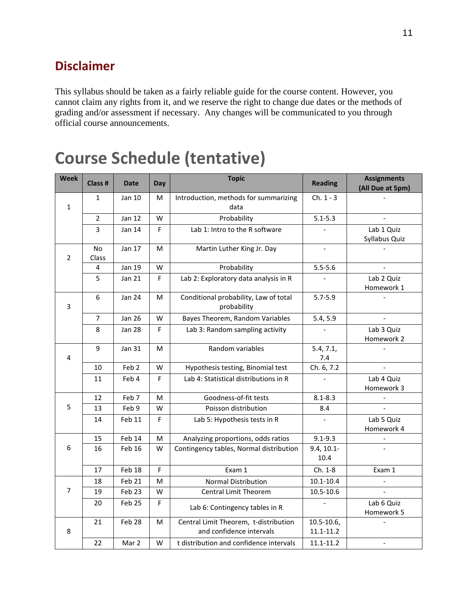## **Disclaimer**

This syllabus should be taken as a fairly reliable guide for the course content. However, you cannot claim any rights from it, and we reserve the right to change due dates or the methods of grading and/or assessment if necessary. Any changes will be communicated to you through official course announcements.

# **Course Schedule (tentative)**

| Week         | Class #            | <b>Date</b>      | Day | <b>Topic</b>                                                      | <b>Reading</b>                 | <b>Assignments</b><br>(All Due at 5pm) |
|--------------|--------------------|------------------|-----|-------------------------------------------------------------------|--------------------------------|----------------------------------------|
| $\mathbf{1}$ | $\mathbf{1}$       | Jan 10           | M   | Introduction, methods for summarizing<br>data                     | $Ch. 1 - 3$                    |                                        |
|              | 2                  | <b>Jan 12</b>    | W   | Probability                                                       | $5.1 - 5.3$                    |                                        |
|              | 3                  | Jan 14           | F   | Lab 1: Intro to the R software                                    |                                | Lab 1 Quiz<br>Syllabus Quiz            |
| 2            | <b>No</b><br>Class | Jan 17           | M   | Martin Luther King Jr. Day                                        |                                |                                        |
|              | 4                  | Jan 19           | W   | Probability                                                       | $5.5 - 5.6$                    | $\overline{a}$                         |
|              | 5                  | Jan 21           | F   | Lab 2: Exploratory data analysis in R                             |                                | Lab 2 Quiz<br>Homework 1               |
| 3            | 6                  | Jan 24           | M   | Conditional probability, Law of total<br>probability              | $5.7 - 5.9$                    |                                        |
|              | $\overline{7}$     | <b>Jan 26</b>    | W   | Bayes Theorem, Random Variables                                   | 5.4, 5.9                       |                                        |
|              | 8                  | Jan 28           | F   | Lab 3: Random sampling activity                                   |                                | Lab 3 Quiz<br>Homework 2               |
| 4            | 9                  | Jan 31           | M   | Random variables                                                  | 5.4, 7.1,<br>7.4               |                                        |
|              | 10                 | Feb <sub>2</sub> | W   | Hypothesis testing, Binomial test                                 | Ch. 6, 7.2                     | $\overline{a}$                         |
|              | 11                 | Feb 4            | F   | Lab 4: Statistical distributions in R                             |                                | Lab 4 Quiz<br>Homework 3               |
|              | 12                 | Feb 7            | M   | Goodness-of-fit tests                                             | $8.1 - 8.3$                    |                                        |
| 5            | 13                 | Feb 9            | W   | Poisson distribution                                              | 8.4                            | $\overline{a}$                         |
|              | 14                 | Feb 11           | F   | Lab 5: Hypothesis tests in R                                      |                                | Lab 5 Quiz<br>Homework 4               |
|              | 15                 | Feb 14           | м   | Analyzing proportions, odds ratios                                | $9.1 - 9.3$                    |                                        |
| 6            | 16                 | Feb 16           | W   | Contingency tables, Normal distribution                           | $9.4, 10.1 -$<br>10.4          |                                        |
|              | 17                 | Feb 18           | F   | Exam 1                                                            | Ch. 1-8                        | Exam 1                                 |
| 7            | 18                 | Feb 21           | M   | Normal Distribution                                               | $10.1 - 10.4$                  |                                        |
|              | 19                 | Feb 23           | W   | <b>Central Limit Theorem</b>                                      | $10.5 - 10.6$                  |                                        |
|              | 20                 | Feb 25           | F   | Lab 6: Contingency tables in R                                    |                                | Lab 6 Quiz<br>Homework 5               |
| 8            | 21                 | Feb 28           | М   | Central Limit Theorem, t-distribution<br>and confidence intervals | $10.5 - 10.6$<br>$11.1 - 11.2$ |                                        |
|              | 22                 | Mar 2            | W   | t distribution and confidence intervals                           | $11.1 - 11.2$                  | $\blacksquare$                         |